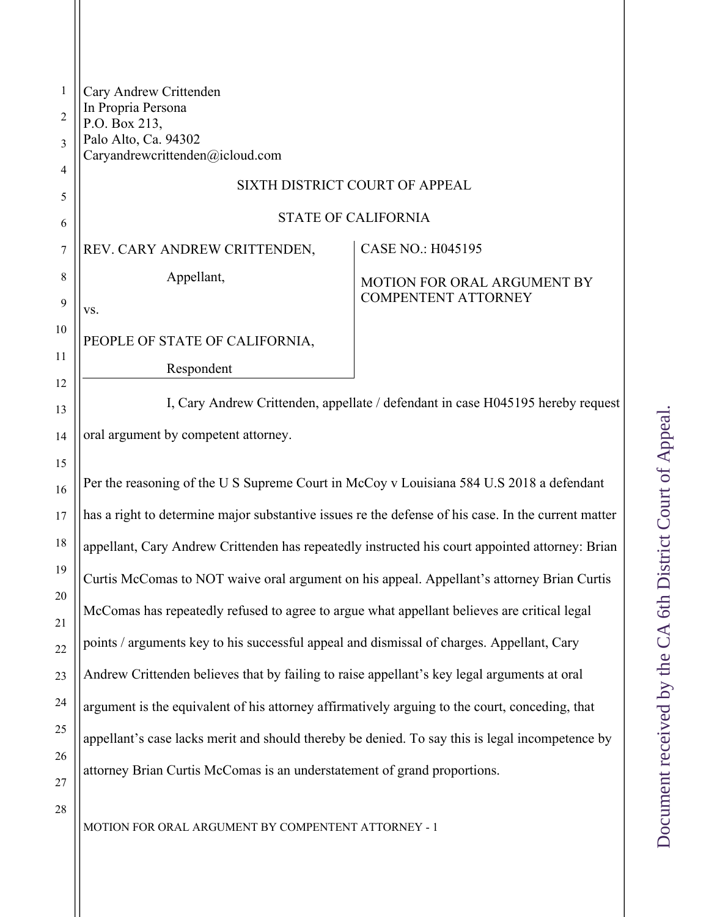| Ϊ                                 |
|-----------------------------------|
|                                   |
|                                   |
|                                   |
|                                   |
|                                   |
|                                   |
| ้                                 |
|                                   |
|                                   |
| <br> <br> <br> <br>               |
|                                   |
|                                   |
|                                   |
| ;<br>)<br>)                       |
|                                   |
|                                   |
|                                   |
|                                   |
|                                   |
|                                   |
|                                   |
| $\sim$ 4 $\leq$ $\sim$ $\sim$     |
|                                   |
|                                   |
|                                   |
|                                   |
|                                   |
|                                   |
|                                   |
| パソン こうこう                          |
|                                   |
|                                   |
|                                   |
| It received hy the                |
|                                   |
|                                   |
|                                   |
|                                   |
| <b>Contract Contract Contract</b> |

| $\mathbf{1}$     | Cary Andrew Crittenden                                                                              |                                    |  |
|------------------|-----------------------------------------------------------------------------------------------------|------------------------------------|--|
| $\overline{2}$   | In Propria Persona<br>P.O. Box 213,                                                                 |                                    |  |
| 3                | Palo Alto, Ca. 94302<br>Caryandrewcrittenden@icloud.com                                             |                                    |  |
| 4                |                                                                                                     |                                    |  |
| 5                | SIXTH DISTRICT COURT OF APPEAL                                                                      |                                    |  |
| 6                | <b>STATE OF CALIFORNIA</b>                                                                          |                                    |  |
| 7                | REV. CARY ANDREW CRITTENDEN,                                                                        | <b>CASE NO.: H045195</b>           |  |
| 8                | Appellant,                                                                                          | <b>MOTION FOR ORAL ARGUMENT BY</b> |  |
| $\boldsymbol{9}$ | VS.                                                                                                 | <b>COMPENTENT ATTORNEY</b>         |  |
| 10               | PEOPLE OF STATE OF CALIFORNIA,                                                                      |                                    |  |
| 11               | Respondent                                                                                          |                                    |  |
| 12               |                                                                                                     |                                    |  |
| 13               | I, Cary Andrew Crittenden, appellate / defendant in case H045195 hereby request                     |                                    |  |
| 14               | oral argument by competent attorney.                                                                |                                    |  |
| 15               |                                                                                                     |                                    |  |
| 16               | Per the reasoning of the U S Supreme Court in McCoy v Louisiana 584 U.S 2018 a defendant            |                                    |  |
| 17               | has a right to determine major substantive issues re the defense of his case. In the current matter |                                    |  |
| 18               | appellant, Cary Andrew Crittenden has repeatedly instructed his court appointed attorney: Brian     |                                    |  |
| 19               | Curtis McComas to NOT waive oral argument on his appeal. Appellant's attorney Brian Curtis          |                                    |  |
| 20               | McComas has repeatedly refused to agree to argue what appellant believes are critical legal         |                                    |  |
| 21               | points / arguments key to his successful appeal and dismissal of charges. Appellant, Cary           |                                    |  |
| 22               |                                                                                                     |                                    |  |
| 23               | Andrew Crittenden believes that by failing to raise appellant's key legal arguments at oral         |                                    |  |
| 24               | argument is the equivalent of his attorney affirmatively arguing to the court, conceding, that      |                                    |  |
| 25               | appellant's case lacks merit and should thereby be denied. To say this is legal incompetence by     |                                    |  |
| 26               | attorney Brian Curtis McComas is an understatement of grand proportions.                            |                                    |  |
| 27<br>28         |                                                                                                     |                                    |  |
|                  | MOTION FOR ORAL ARGUMENT BY COMPENTENT ATTORNEY - 1                                                 |                                    |  |